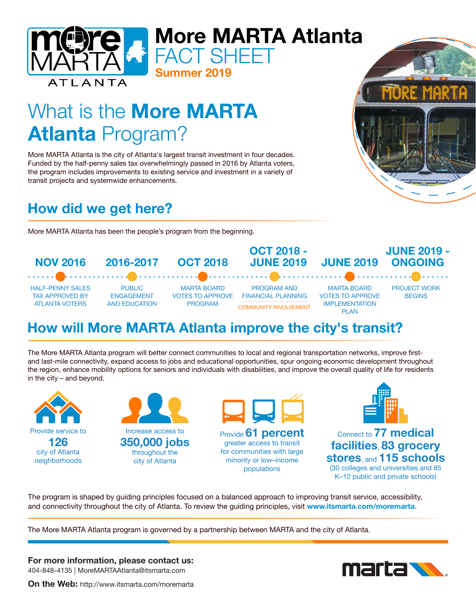

# What is the **More MARTA** Atlanta Program?

More MARTA Atlanta is the city of Atlanta's largest transit investment in four decades. Funded by the half-penny sales tax overwhelmingly passed in 2016 by Atlanta voters, the program includes improvements to existing service and investment in a variety of transit projects and systemwide enhancements.

Summer 2019

FACT SHEFT

## How did we get here?

More MARTA Atlanta has been the people's program from the beginning.

OCT 2018 - JUNE 2019 - NOV 2016 2016-2017 OCT 2018 JUNE 2019 ONGOING JUNE 2019 . . . . . . **. .** . . . . . . . . . . . . . . . . . . . HALF-PENNY SALES PUBLIC MARTA BOARD PROGRAM AND MARTA BOARD PROJECT WORK TAX APPROVED BY ENGAGEMENT VOTES TO APPROVE FINANCIAL PLANNING VOTES TO APPROVE **BEGINS** ATLANTA VOTERS AND EDUCATION PROGRAMIMPLEMENTATION COMMUNITY INVOLVEMENT PLAN

### How will More MARTA Atlanta improve the city's transit?

The More MARTA Atlanta program will better connect communities to local and regional transportation networks, improve firstand last-mile connectivity, expand access to jobs and educational opportunities, spur ongoing economic development throughout the region, enhance mobility options for seniors and individuals with disabilities, and improve the overall quality of life for residents in the city – and beyond.

Provide service to 126 city of Atlanta neighborhoods





greater access to transit for communities with large minority or low–income populations



Connect to 77 medical facilities, 83 grocery stores, and 115 schools (30 colleges and universities and 85

K–12 public and private schools)

The program is shaped by guiding principles focused on a balanced approach to improving transit service, accessibility, and connectivity throughout the city of Atlanta. To review the guiding principles, visit www.itsmarta.com/moremarta.

The More MARTA Atlanta program is governed by a partnership between MARTA and the city of Atlanta.

For more information, please contact us: 404-848-4135 | MoreMARTAAtlanta@itsmarta.com



On the Web: http://www.itsmarta.com/moremarta